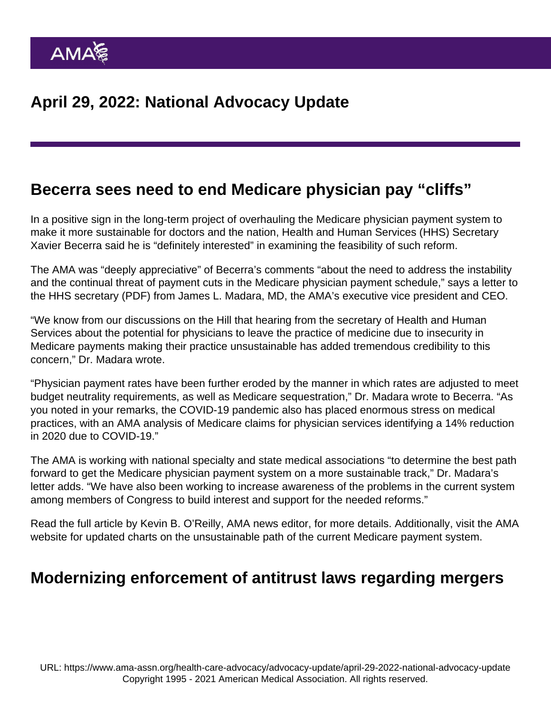#### Becerra sees need to end Medicare physician pay "cliffs"

In a positive sign in the long-term project of overhauling the Medicare physician payment system to make it more sustainable for doctors and the nation, Health and Human Services (HHS) Secretary Xavier Becerra said he is "definitely interested" in examining the feasibility of such reform.

The AMA was "deeply appreciative" of Becerra's comments "about the need to address the instability and the continual threat of payment cuts in the Medicare physician payment schedule," [says a letter to](https://searchlf.ama-assn.org/letter/documentDownload?uri=/unstructured/binary/letter/LETTERS/2022-3-30-Letter-to-Becerra-re-Medicare-Pay-v4.pdf) [the HHS secretary](https://searchlf.ama-assn.org/letter/documentDownload?uri=/unstructured/binary/letter/LETTERS/2022-3-30-Letter-to-Becerra-re-Medicare-Pay-v4.pdf) (PDF) from James L. Madara, MD, the AMA's executive vice president and CEO.

"We know from our discussions on the Hill that hearing from the secretary of Health and Human Services about the potential for physicians to leave the practice of medicine due to insecurity in Medicare payments making their practice unsustainable has added tremendous credibility to this concern," Dr. Madara wrote.

"Physician payment rates have been further eroded by the manner in which rates are adjusted to meet budget neutrality requirements, as well as Medicare sequestration," Dr. Madara wrote to Becerra. "As you noted in your remarks, the COVID-19 pandemic also has placed enormous stress on medical practices, with an AMA analysis of Medicare claims for physician services identifying a 14% reduction in 2020 due to COVID-19."

The AMA is working with national specialty and state medical associations "to determine the best path forward to get the Medicare physician payment system on a more sustainable track," Dr. Madara's letter adds. "We have also been working to increase awareness of the problems in the current system among members of Congress to build interest and support for the needed reforms."

Read the [full article](https://www.ama-assn.org/practice-management/medicare-medicaid/becerra-sees-need-end-medicare-physician-pay-cliffs) by Kevin B. O'Reilly, AMA news editor, for more details. Additionally, visit the [AMA](https://www.ama-assn.org/practice-management/medicare-medicaid/ama-fights-against-medicare-cuts-defending-practices-access) [website](https://www.ama-assn.org/practice-management/medicare-medicaid/ama-fights-against-medicare-cuts-defending-practices-access) for updated charts on the unsustainable path of the current Medicare payment system.

#### Modernizing enforcement of antitrust laws regarding mergers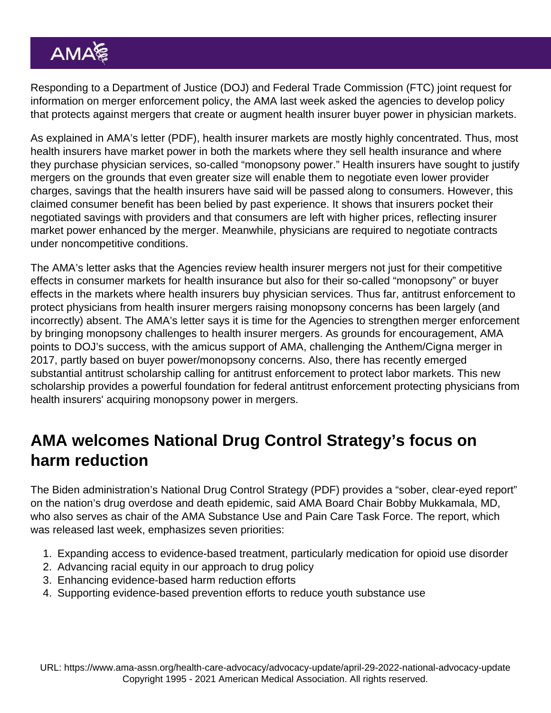Responding to a Department of Justice (DOJ) and Federal Trade Commission (FTC) joint request for information on merger enforcement policy, the AMA last week asked the agencies to develop policy that protects against mergers that create or augment health insurer buyer power in physician markets.

As explained in AMA's [letter](https://searchlf.ama-assn.org/letter/documentDownload?uri=/unstructured/binary/letter/LETTERS/2022-4-21-AMA-Letter-to-Khan-and-Kanter-re-DOJ-FTC-RFI.zip/2022-4-21-AMA-Letter-to-Khan-and-Kanter-re-DOJ-FTC-RFI.pdf) (PDF), health insurer markets are mostly highly concentrated. Thus, most health insurers have market power in both the markets where they sell health insurance and where they purchase physician services, so-called "monopsony power." Health insurers have sought to justify mergers on the grounds that even greater size will enable them to negotiate even lower provider charges, savings that the health insurers have said will be passed along to consumers. However, this claimed consumer benefit has been belied by past experience. It shows that insurers pocket their negotiated savings with providers and that consumers are left with higher prices, reflecting insurer market power enhanced by the merger. Meanwhile, physicians are required to negotiate contracts under noncompetitive conditions.

The AMA's letter asks that the Agencies review health insurer mergers not just for their competitive effects in consumer markets for health insurance but also for their so-called "monopsony" or buyer effects in the markets where health insurers buy physician services. Thus far, antitrust enforcement to protect physicians from health insurer mergers raising monopsony concerns has been largely (and incorrectly) absent. The AMA's letter says it is time for the Agencies to strengthen merger enforcement by bringing monopsony challenges to health insurer mergers. As grounds for encouragement, AMA points to DOJ's success, with the amicus support of AMA, challenging the Anthem/Cigna merger in 2017, partly based on buyer power/monopsony concerns. Also, there has recently emerged substantial antitrust scholarship calling for antitrust enforcement to protect labor markets. This new scholarship provides a powerful foundation for federal antitrust enforcement protecting physicians from health insurers' acquiring monopsony power in mergers.

### AMA welcomes National Drug Control Strategy's focus on harm reduction

The Biden administration's [National Drug Control Strategy](https://www.whitehouse.gov/wp-content/uploads/2022/04/National-Drug-Control-2022Strategy.pdf) (PDF) provides a "sober, clear-eyed report" on the nation's drug overdose and death epidemic, said AMA Board Chair Bobby Mukkamala, MD, who also serves as chair of the AMA Substance Use and Pain Care Task Force. The report, which was released last week, emphasizes seven priorities:

- 1. Expanding access to evidence-based treatment, particularly medication for opioid use disorder
- 2. Advancing racial equity in our approach to drug policy
- 3. Enhancing evidence-based harm reduction efforts
- 4. Supporting evidence-based prevention efforts to reduce youth substance use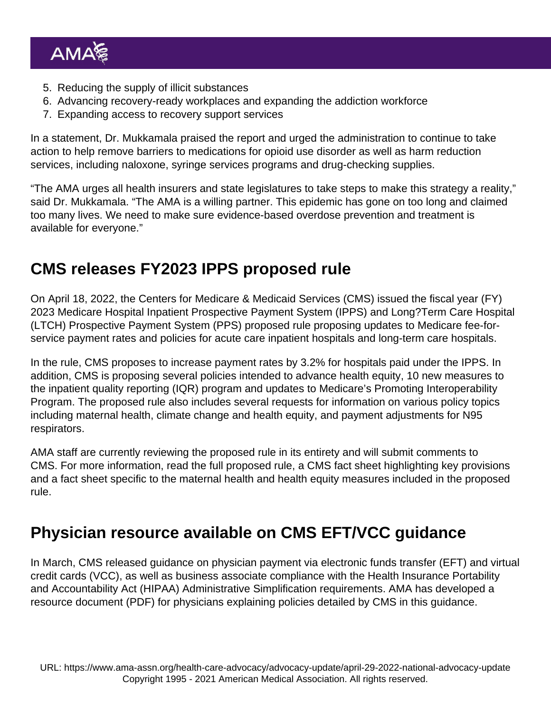- 5. Reducing the supply of illicit substances
- 6. Advancing recovery-ready workplaces and expanding the addiction workforce
- 7. Expanding access to recovery support services

In a [statement](https://www.ama-assn.org/press-center/press-releases/ama-welcomes-public-health-approach-overdose-epidemic), Dr. Mukkamala praised the report and urged the administration to continue to take action to help remove barriers to medications for opioid use disorder as well as harm reduction services, including naloxone, syringe services programs and drug-checking supplies.

"The AMA urges all health insurers and state legislatures to take steps to make this strategy a reality," said Dr. Mukkamala. "The AMA is a willing partner. This epidemic has gone on too long and claimed too many lives. We need to make sure evidence-based overdose prevention and treatment is available for everyone."

### CMS releases FY2023 IPPS proposed rule

On April 18, 2022, the Centers for Medicare & Medicaid Services (CMS) issued the fiscal year (FY) 2023 Medicare Hospital Inpatient Prospective Payment System (IPPS) and Long?Term Care Hospital (LTCH) Prospective Payment System (PPS) [proposed rule](https://www.federalregister.gov/public-inspection/2022-08268/medicare-program-hospital-inpatient-prospective-payment-systems-quality-programs-and-medicare) proposing updates to Medicare fee-forservice payment rates and policies for acute care inpatient hospitals and long-term care hospitals.

In the rule, CMS proposes to increase payment rates by 3.2% for hospitals paid under the IPPS. In addition, CMS is proposing several policies intended to advance health equity, 10 new measures to the inpatient quality reporting (IQR) program and updates to Medicare's Promoting Interoperability Program. The proposed rule also includes several requests for information on various policy topics including maternal health, climate change and health equity, and payment adjustments for N95 respirators.

AMA staff are currently reviewing the proposed rule in its entirety and will submit comments to CMS. For more information, read the [full proposed rule,](https://www.federalregister.gov/public-inspection/2022-08268/medicare-program-hospital-inpatient-prospective-payment-systems-quality-programs-and-medicare) a CMS [fact sheet](https://www.cms.gov/newsroom/fact-sheets/fy-2023-hospital-inpatient-prospective-payment-system-ipps-and-long-term-care-hospitals-ltch-pps) highlighting key provisions and a [fact sheet](https://www.cms.gov/newsroom/fact-sheets/fy-2023-hospital-inpatient-prospective-payment-system-ipps-and-long-term-care-hospitals-ltch-pps-0) specific to the maternal health and health equity measures included in the proposed rule.

### Physician resource available on CMS EFT/VCC guidance

In March, CMS released guidance on physician payment via electronic funds transfer (EFT) and virtual credit cards (VCC), as well as business associate compliance with the Health Insurance Portability and Accountability Act (HIPAA) Administrative Simplification requirements. AMA has developed a [resource document](https://www.ama-assn.org/system/files/vcc-eft-cms-guidance.pdf) (PDF) for physicians explaining policies detailed by CMS in this guidance.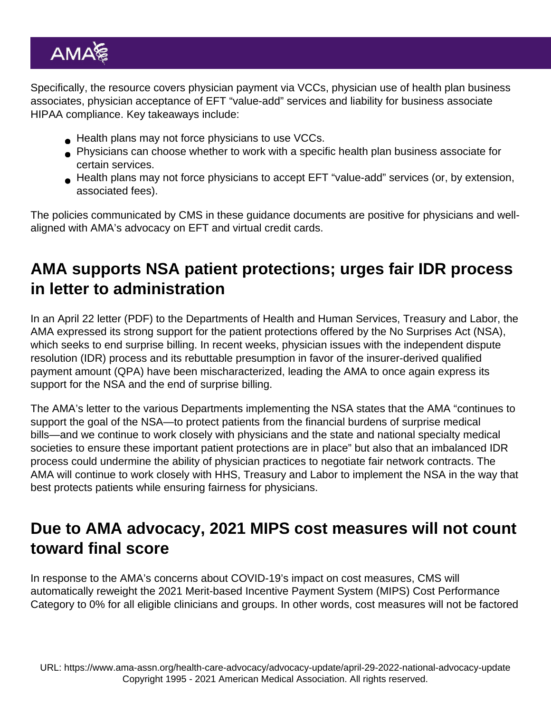Specifically, the resource covers physician payment via VCCs, physician use of health plan business associates, physician acceptance of EFT "value-add" services and liability for business associate HIPAA compliance. Key takeaways include:

- **■** Health plans may not force physicians to use VCCs.
- Physicians can choose whether to work with a specific health plan business associate for certain services.
- Health plans may not force physicians to accept EFT "value-add" services (or, by extension, associated fees).

The policies communicated by CMS in these guidance documents are positive for physicians and wellaligned with [AMA's advocacy](https://www.ama-assn.org/practice-management/sustainability/administrative-simplification-advocacy) on EFT and virtual credit cards.

### AMA supports NSA patient protections; urges fair IDR process in letter to administration

In an April 22 [letter](https://searchlf.ama-assn.org/letter/documentDownload?uri=/unstructured/binary/letter/LETTERS/2022-4-22-Letter-to-Becerra-re-Stop-Surprise-Billing-Now-v4.zip/2022-4-22-Letter-to-Becerra-re-Stop-Surprise-Billing-Now-v4.pdf) (PDF) to the Departments of Health and Human Services, Treasury and Labor, the AMA expressed its strong support for the patient protections offered by the No Surprises Act (NSA), which seeks to end surprise billing. In recent weeks, physician issues with the independent dispute resolution (IDR) process and its rebuttable presumption in favor of the insurer-derived qualified payment amount (QPA) have been mischaracterized, leading the AMA to once again express its support for the NSA and the end of surprise billing.

The AMA's letter to the various Departments implementing the NSA states that the AMA "continues to support the goal of the NSA—to protect patients from the financial burdens of surprise medical bills—and we continue to work closely with physicians and the state and national specialty medical societies to ensure these important patient protections are in place" but also that an imbalanced IDR process could undermine the ability of physician practices to negotiate fair network contracts. The AMA will continue to work closely with HHS, Treasury and Labor to implement the NSA in the way that best protects patients while ensuring fairness for physicians.

#### Due to AMA advocacy, 2021 MIPS cost measures will not count toward final score

In response to the AMA's concerns about COVID-19's impact on cost measures, CMS will automatically reweight the 2021 Merit-based Incentive Payment System (MIPS) Cost Performance Category to 0% for all eligible clinicians and groups. In other words, cost measures will not be factored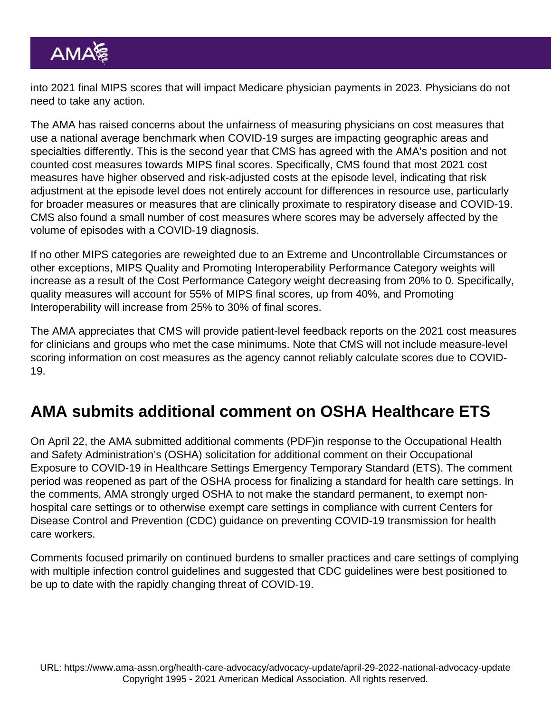into 2021 final MIPS scores that will impact Medicare physician payments in 2023. Physicians do not need to take any action.

The AMA has raised concerns about the unfairness of measuring physicians on cost measures that use a national average benchmark when COVID-19 surges are impacting geographic areas and specialties differently. This is the second year that CMS has agreed with the AMA's position and not counted cost measures towards MIPS final scores. Specifically, CMS found that most 2021 cost measures have higher observed and risk-adjusted costs at the episode level, indicating that risk adjustment at the episode level does not entirely account for differences in resource use, particularly for broader measures or measures that are clinically proximate to respiratory disease and COVID-19. CMS also found a small number of cost measures where scores may be adversely affected by the volume of episodes with a COVID-19 diagnosis.

If no other MIPS categories are reweighted due to an Extreme and Uncontrollable Circumstances or other exceptions, MIPS Quality and Promoting Interoperability Performance Category weights will increase as a result of the Cost Performance Category weight decreasing from 20% to 0. Specifically, quality measures will account for 55% of MIPS final scores, up from 40%, and Promoting Interoperability will increase from 25% to 30% of final scores.

The AMA appreciates that CMS will provide patient-level feedback reports on the 2021 cost measures for clinicians and groups who met the case minimums. Note that CMS will not include measure-level scoring information on cost measures as the agency cannot reliably calculate scores due to COVID-19.

### AMA submits additional comment on OSHA Healthcare ETS

On April 22, the AMA submitted additional [comments](https://searchlf.ama-assn.org/letter/documentDownload?uri=/unstructured/binary/letter/LETTERS/2022-4-22-Letter-to-Walsh-re-OSHA-Final-ETS-v3.zip/2022-4-22-Letter-to-Walsh-re-OSHA-Final-ETS-v3.pdf) (PDF)in response to the Occupational Health and Safety Administration's (OSHA) [solicitation for additional comment](https://www.federalregister.gov/documents/2022/03/23/2022-06080/occupational-exposure-to-covid-19-in-healthcare-settings) on their Occupational Exposure to COVID-19 in Healthcare Settings Emergency Temporary Standard (ETS). The comment period was reopened as part of the OSHA process for finalizing a standard for health care settings. In the comments, AMA strongly urged OSHA to not make the standard permanent, to exempt nonhospital care settings or to otherwise exempt care settings in compliance with current Centers for Disease Control and Prevention (CDC) guidance on preventing COVID-19 transmission for health care workers.

Comments focused primarily on continued burdens to smaller practices and care settings of complying with multiple infection control guidelines and suggested that CDC guidelines were best positioned to be up to date with the rapidly changing threat of COVID-19.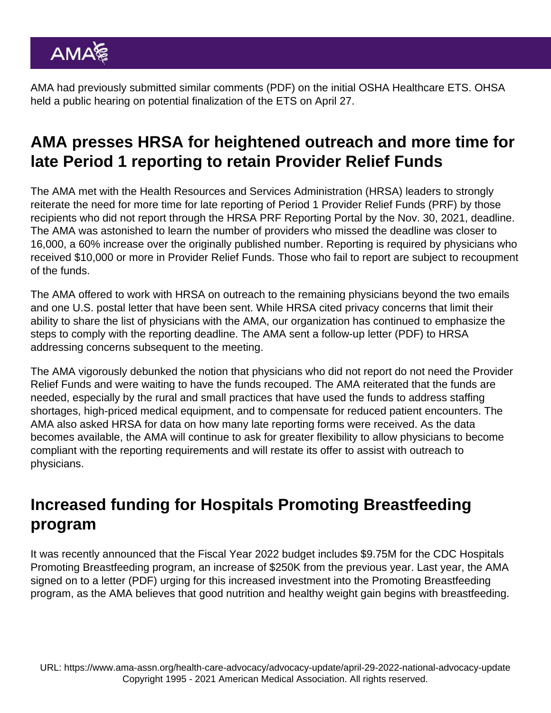AMA had previously submitted similar [comments](https://searchlf.ama-assn.org/letter/documentDownload?uri=/unstructured/binary/letter/LETTERS/2021-8-20-Letter-To-Walsh-re-OSHA-ETS-Comments-v2.pdf) (PDF) on the initial OSHA Healthcare ETS. OHSA held a public hearing on potential finalization of the ETS on April 27.

# AMA presses HRSA for heightened outreach and more time for late Period 1 reporting to retain Provider Relief Funds

The AMA met with the Health Resources and Services Administration (HRSA) leaders to strongly reiterate the need for more time for late reporting of Period 1 Provider Relief Funds (PRF) by those recipients who did not report through the HRSA PRF Reporting Portal by the Nov. 30, 2021, deadline. The AMA was astonished to learn the number of providers who missed the deadline was closer to 16,000, a 60% increase over the originally published number. Reporting is required by physicians who received \$10,000 or more in Provider Relief Funds. Those who fail to report are subject to recoupment of the funds.

The AMA offered to work with HRSA on outreach to the remaining physicians beyond the two emails and one U.S. postal letter that have been sent. While HRSA cited privacy concerns that limit their ability to share the list of physicians with the AMA, our organization has continued to emphasize the steps to comply with the reporting deadline. The AMA sent a follow-up [letter](https://searchlf.ama-assn.org/letter/documentDownload?uri=/unstructured/binary/letter/LETTERS/2022-4-22-Letter-to-Johnson-re-HRSA-Provider-Relief-v3.zip/2022-4-22-Letter-to-Johnson-re-HRSA-Provider-Relief-v3.pdf) (PDF) to HRSA addressing concerns subsequent to the meeting.

The AMA vigorously debunked the notion that physicians who did not report do not need the Provider Relief Funds and were waiting to have the funds recouped. The AMA reiterated that the funds are needed, especially by the rural and small practices that have used the funds to address staffing shortages, high-priced medical equipment, and to compensate for reduced patient encounters. The AMA also asked HRSA for data on how many late reporting forms were received. As the data becomes available, the AMA will continue to ask for greater flexibility to allow physicians to become compliant with the reporting requirements and will restate its offer to assist with outreach to physicians.

### Increased funding for Hospitals Promoting Breastfeeding program

It was recently announced that the Fiscal Year 2022 budget includes \$9.75M for the CDC Hospitals Promoting Breastfeeding program, an increase of \$250K from the previous year. Last year, the [AMA](https://searchlf.ama-assn.org/letter/documentDownload?uri=/unstructured/binary/letter/LETTERS/FY22-Hospital-Promoting-Breastfeeding-Sign-On-Letter-After-Presidents-Budget.pdf) [signed on to a letter](https://searchlf.ama-assn.org/letter/documentDownload?uri=/unstructured/binary/letter/LETTERS/FY22-Hospital-Promoting-Breastfeeding-Sign-On-Letter-After-Presidents-Budget.pdf) (PDF) urging for this increased investment into the Promoting Breastfeeding program, as the AMA believes that good nutrition and healthy weight gain begins with breastfeeding.